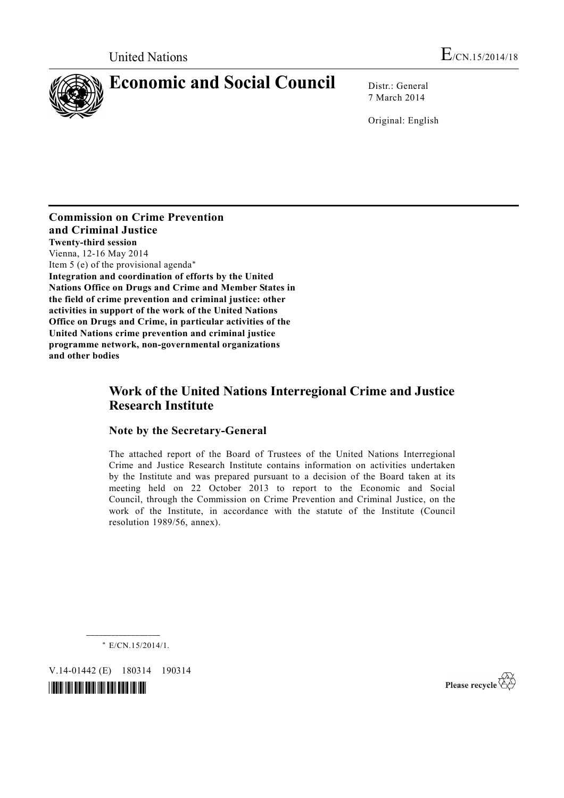

7 March 2014

Original: English

**Commission on Crime Prevention and Criminal Justice Twenty-third session**  Vienna, 12-16 May 2014 Item 5 (e) of the provisional agenda\* **Integration and coordination of efforts by the United Nations Office on Drugs and Crime and Member States in the field of crime prevention and criminal justice: other activities in support of the work of the United Nations Office on Drugs and Crime, in particular activities of the United Nations crime prevention and criminal justice programme network, non-governmental organizations and other bodies**

# **Work of the United Nations Interregional Crime and Justice Research Institute**

## **Note by the Secretary-General**

The attached report of the Board of Trustees of the United Nations Interregional Crime and Justice Research Institute contains information on activities undertaken by the Institute and was prepared pursuant to a decision of the Board taken at its meeting held on 22 October 2013 to report to the Economic and Social Council, through the Commission on Crime Prevention and Criminal Justice, on the work of the Institute, in accordance with the statute of the Institute (Council resolution 1989/56, annex).

\* E/CN.15/2014/1.

V.14-01442 (E) 180314 190314

**\_\_\_\_\_\_\_\_\_\_\_\_\_\_\_\_\_\_** 



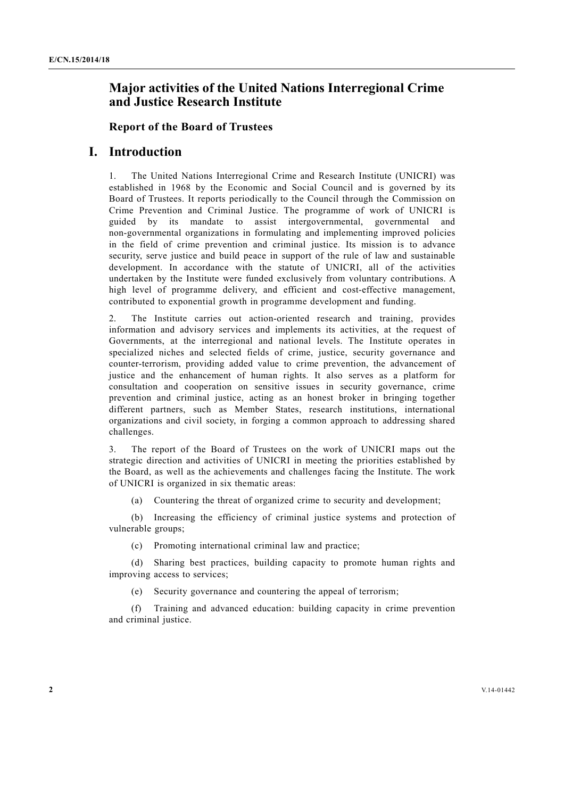# **Major activities of the United Nations Interregional Crime and Justice Research Institute**

### **Report of the Board of Trustees**

# **I. Introduction**

1. The United Nations Interregional Crime and Research Institute (UNICRI) was established in 1968 by the Economic and Social Council and is governed by its Board of Trustees. It reports periodically to the Council through the Commission on Crime Prevention and Criminal Justice. The programme of work of UNICRI is guided by its mandate to assist intergovernmental, governmental and non-governmental organizations in formulating and implementing improved policies in the field of crime prevention and criminal justice. Its mission is to advance security, serve justice and build peace in support of the rule of law and sustainable development. In accordance with the statute of UNICRI, all of the activities undertaken by the Institute were funded exclusively from voluntary contributions. A high level of programme delivery, and efficient and cost-effective management, contributed to exponential growth in programme development and funding.

2. The Institute carries out action-oriented research and training, provides information and advisory services and implements its activities, at the request of Governments, at the interregional and national levels. The Institute operates in specialized niches and selected fields of crime, justice, security governance and counter-terrorism, providing added value to crime prevention, the advancement of justice and the enhancement of human rights. It also serves as a platform for consultation and cooperation on sensitive issues in security governance, crime prevention and criminal justice, acting as an honest broker in bringing together different partners, such as Member States, research institutions, international organizations and civil society, in forging a common approach to addressing shared challenges.

3. The report of the Board of Trustees on the work of UNICRI maps out the strategic direction and activities of UNICRI in meeting the priorities established by the Board, as well as the achievements and challenges facing the Institute. The work of UNICRI is organized in six thematic areas:

(a) Countering the threat of organized crime to security and development;

 (b) Increasing the efficiency of criminal justice systems and protection of vulnerable groups;

(c) Promoting international criminal law and practice;

 (d) Sharing best practices, building capacity to promote human rights and improving access to services;

(e) Security governance and countering the appeal of terrorism;

 (f) Training and advanced education: building capacity in crime prevention and criminal justice.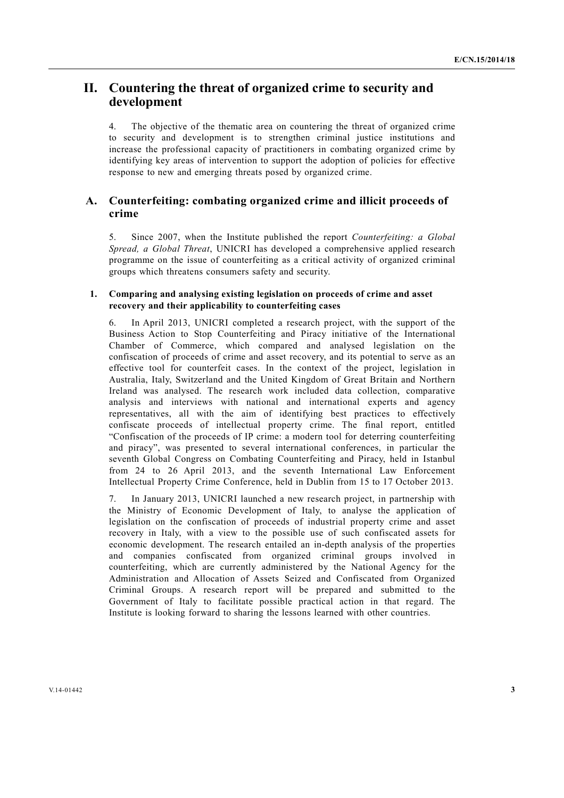# **II. Countering the threat of organized crime to security and development**

4. The objective of the thematic area on countering the threat of organized crime to security and development is to strengthen criminal justice institutions and increase the professional capacity of practitioners in combating organized crime by identifying key areas of intervention to support the adoption of policies for effective response to new and emerging threats posed by organized crime.

## **A. Counterfeiting: combating organized crime and illicit proceeds of crime**

5. Since 2007, when the Institute published the report *Counterfeiting: a Global Spread, a Global Threat*, UNICRI has developed a comprehensive applied research programme on the issue of counterfeiting as a critical activity of organized criminal groups which threatens consumers safety and security.

#### **1. Comparing and analysing existing legislation on proceeds of crime and asset recovery and their applicability to counterfeiting cases**

6. In April 2013, UNICRI completed a research project, with the support of the Business Action to Stop Counterfeiting and Piracy initiative of the International Chamber of Commerce, which compared and analysed legislation on the confiscation of proceeds of crime and asset recovery, and its potential to serve as an effective tool for counterfeit cases. In the context of the project, legislation in Australia, Italy, Switzerland and the United Kingdom of Great Britain and Northern Ireland was analysed. The research work included data collection, comparative analysis and interviews with national and international experts and agency representatives, all with the aim of identifying best practices to effectively confiscate proceeds of intellectual property crime. The final report, entitled "Confiscation of the proceeds of IP crime: a modern tool for deterring counterfeiting and piracy", was presented to several international conferences, in particular the seventh Global Congress on Combating Counterfeiting and Piracy, held in Istanbul from 24 to 26 April 2013, and the seventh International Law Enforcement Intellectual Property Crime Conference, held in Dublin from 15 to 17 October 2013.

7. In January 2013, UNICRI launched a new research project, in partnership with the Ministry of Economic Development of Italy, to analyse the application of legislation on the confiscation of proceeds of industrial property crime and asset recovery in Italy, with a view to the possible use of such confiscated assets for economic development. The research entailed an in-depth analysis of the properties and companies confiscated from organized criminal groups involved in counterfeiting, which are currently administered by the National Agency for the Administration and Allocation of Assets Seized and Confiscated from Organized Criminal Groups. A research report will be prepared and submitted to the Government of Italy to facilitate possible practical action in that regard. The Institute is looking forward to sharing the lessons learned with other countries.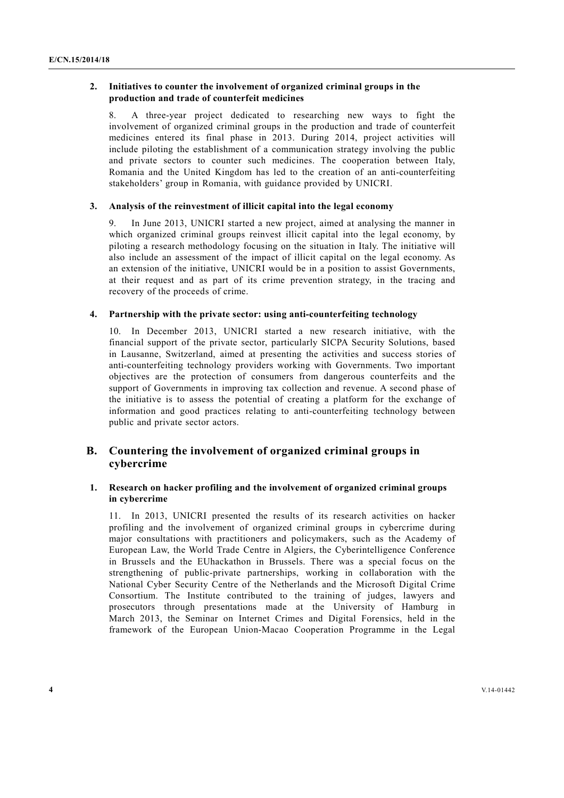#### **2. Initiatives to counter the involvement of organized criminal groups in the production and trade of counterfeit medicines**

8. A three-year project dedicated to researching new ways to fight the involvement of organized criminal groups in the production and trade of counterfeit medicines entered its final phase in 2013. During 2014, project activities will include piloting the establishment of a communication strategy involving the public and private sectors to counter such medicines. The cooperation between Italy, Romania and the United Kingdom has led to the creation of an anti-counterfeiting stakeholders' group in Romania, with guidance provided by UNICRI.

#### **3. Analysis of the reinvestment of illicit capital into the legal economy**

In June 2013, UNICRI started a new project, aimed at analysing the manner in which organized criminal groups reinvest illicit capital into the legal economy, by piloting a research methodology focusing on the situation in Italy. The initiative will also include an assessment of the impact of illicit capital on the legal economy. As an extension of the initiative, UNICRI would be in a position to assist Governments, at their request and as part of its crime prevention strategy, in the tracing and recovery of the proceeds of crime.

#### **4. Partnership with the private sector: using anti-counterfeiting technology**

10. In December 2013, UNICRI started a new research initiative, with the financial support of the private sector, particularly SICPA Security Solutions, based in Lausanne, Switzerland, aimed at presenting the activities and success stories of anti-counterfeiting technology providers working with Governments. Two important objectives are the protection of consumers from dangerous counterfeits and the support of Governments in improving tax collection and revenue. A second phase of the initiative is to assess the potential of creating a platform for the exchange of information and good practices relating to anti-counterfeiting technology between public and private sector actors.

## **B. Countering the involvement of organized criminal groups in cybercrime**

## **1. Research on hacker profiling and the involvement of organized criminal groups in cybercrime**

11. In 2013, UNICRI presented the results of its research activities on hacker profiling and the involvement of organized criminal groups in cybercrime during major consultations with practitioners and policymakers, such as the Academy of European Law, the World Trade Centre in Algiers, the Cyberintelligence Conference in Brussels and the EUhackathon in Brussels. There was a special focus on the strengthening of public-private partnerships, working in collaboration with the National Cyber Security Centre of the Netherlands and the Microsoft Digital Crime Consortium. The Institute contributed to the training of judges, lawyers and prosecutors through presentations made at the University of Hamburg in March 2013, the Seminar on Internet Crimes and Digital Forensics, held in the framework of the European Union-Macao Cooperation Programme in the Legal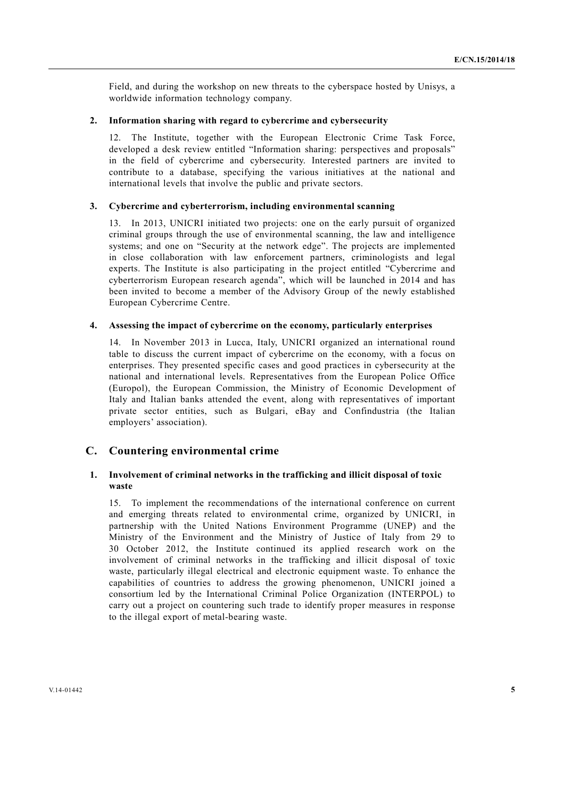Field, and during the workshop on new threats to the cyberspace hosted by Unisys, a worldwide information technology company.

#### **2. Information sharing with regard to cybercrime and cybersecurity**

12. The Institute, together with the European Electronic Crime Task Force, developed a desk review entitled "Information sharing: perspectives and proposals" in the field of cybercrime and cybersecurity. Interested partners are invited to contribute to a database, specifying the various initiatives at the national and international levels that involve the public and private sectors.

#### **3. Cybercrime and cyberterrorism, including environmental scanning**

13. In 2013, UNICRI initiated two projects: one on the early pursuit of organized criminal groups through the use of environmental scanning, the law and intelligence systems; and one on "Security at the network edge". The projects are implemented in close collaboration with law enforcement partners, criminologists and legal experts. The Institute is also participating in the project entitled "Cybercrime and cyberterrorism European research agenda", which will be launched in 2014 and has been invited to become a member of the Advisory Group of the newly established European Cybercrime Centre.

#### **4. Assessing the impact of cybercrime on the economy, particularly enterprises**

14. In November 2013 in Lucca, Italy, UNICRI organized an international round table to discuss the current impact of cybercrime on the economy, with a focus on enterprises. They presented specific cases and good practices in cybersecurity at the national and international levels. Representatives from the European Police Office (Europol), the European Commission, the Ministry of Economic Development of Italy and Italian banks attended the event, along with representatives of important private sector entities, such as Bulgari, eBay and Confindustria (the Italian employers' association).

### **C. Countering environmental crime**

#### **1. Involvement of criminal networks in the trafficking and illicit disposal of toxic waste**

15. To implement the recommendations of the international conference on current and emerging threats related to environmental crime, organized by UNICRI, in partnership with the United Nations Environment Programme (UNEP) and the Ministry of the Environment and the Ministry of Justice of Italy from 29 to 30 October 2012, the Institute continued its applied research work on the involvement of criminal networks in the trafficking and illicit disposal of toxic waste, particularly illegal electrical and electronic equipment waste. To enhance the capabilities of countries to address the growing phenomenon, UNICRI joined a consortium led by the International Criminal Police Organization (INTERPOL) to carry out a project on countering such trade to identify proper measures in response to the illegal export of metal-bearing waste.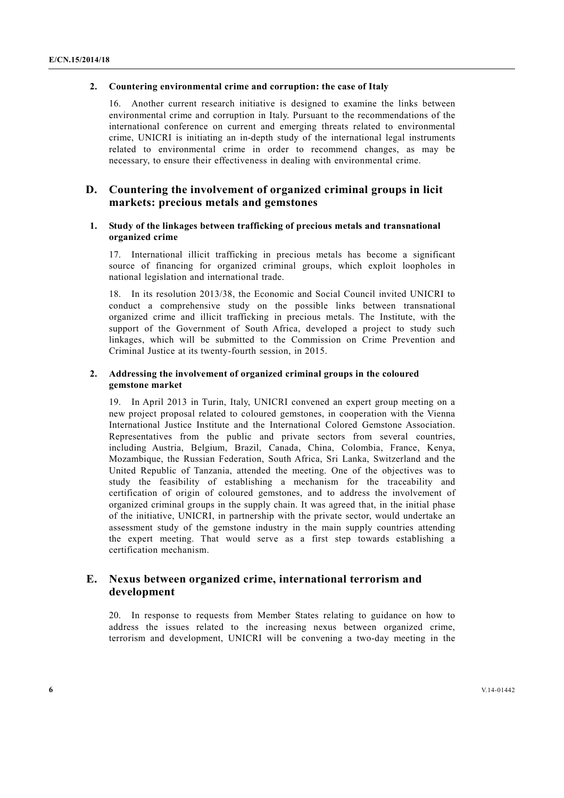#### **2. Countering environmental crime and corruption: the case of Italy**

16. Another current research initiative is designed to examine the links between environmental crime and corruption in Italy. Pursuant to the recommendations of the international conference on current and emerging threats related to environmental crime, UNICRI is initiating an in-depth study of the international legal instruments related to environmental crime in order to recommend changes, as may be necessary, to ensure their effectiveness in dealing with environmental crime.

## **D. Countering the involvement of organized criminal groups in licit markets: precious metals and gemstones**

#### **1. Study of the linkages between trafficking of precious metals and transnational organized crime**

17. International illicit trafficking in precious metals has become a significant source of financing for organized criminal groups, which exploit loopholes in national legislation and international trade.

18. In its resolution 2013/38, the Economic and Social Council invited UNICRI to conduct a comprehensive study on the possible links between transnational organized crime and illicit trafficking in precious metals. The Institute, with the support of the Government of South Africa, developed a project to study such linkages, which will be submitted to the Commission on Crime Prevention and Criminal Justice at its twenty-fourth session, in 2015.

#### **2. Addressing the involvement of organized criminal groups in the coloured gemstone market**

19. In April 2013 in Turin, Italy, UNICRI convened an expert group meeting on a new project proposal related to coloured gemstones, in cooperation with the Vienna International Justice Institute and the International Colored Gemstone Association. Representatives from the public and private sectors from several countries, including Austria, Belgium, Brazil, Canada, China, Colombia, France, Kenya, Mozambique, the Russian Federation, South Africa, Sri Lanka, Switzerland and the United Republic of Tanzania, attended the meeting. One of the objectives was to study the feasibility of establishing a mechanism for the traceability and certification of origin of coloured gemstones, and to address the involvement of organized criminal groups in the supply chain. It was agreed that, in the initial phase of the initiative, UNICRI, in partnership with the private sector, would undertake an assessment study of the gemstone industry in the main supply countries attending the expert meeting. That would serve as a first step towards establishing a certification mechanism.

## **E. Nexus between organized crime, international terrorism and development**

20. In response to requests from Member States relating to guidance on how to address the issues related to the increasing nexus between organized crime, terrorism and development, UNICRI will be convening a two-day meeting in the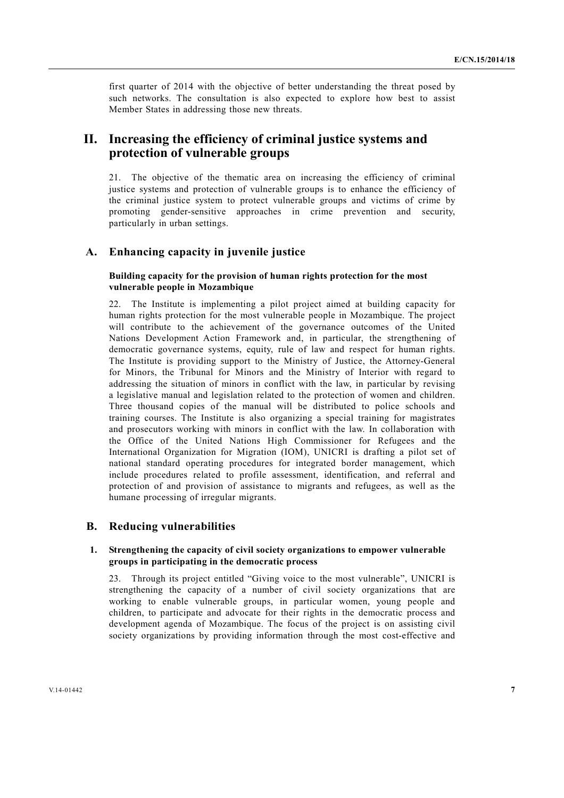first quarter of 2014 with the objective of better understanding the threat posed by such networks. The consultation is also expected to explore how best to assist Member States in addressing those new threats.

# **II. Increasing the efficiency of criminal justice systems and protection of vulnerable groups**

21. The objective of the thematic area on increasing the efficiency of criminal justice systems and protection of vulnerable groups is to enhance the efficiency of the criminal justice system to protect vulnerable groups and victims of crime by promoting gender-sensitive approaches in crime prevention and security, particularly in urban settings.

## **A. Enhancing capacity in juvenile justice**

### **Building capacity for the provision of human rights protection for the most vulnerable people in Mozambique**

22. The Institute is implementing a pilot project aimed at building capacity for human rights protection for the most vulnerable people in Mozambique. The project will contribute to the achievement of the governance outcomes of the United Nations Development Action Framework and, in particular, the strengthening of democratic governance systems, equity, rule of law and respect for human rights. The Institute is providing support to the Ministry of Justice, the Attorney-General for Minors, the Tribunal for Minors and the Ministry of Interior with regard to addressing the situation of minors in conflict with the law, in particular by revising a legislative manual and legislation related to the protection of women and children. Three thousand copies of the manual will be distributed to police schools and training courses. The Institute is also organizing a special training for magistrates and prosecutors working with minors in conflict with the law. In collaboration with the Office of the United Nations High Commissioner for Refugees and the International Organization for Migration (IOM), UNICRI is drafting a pilot set of national standard operating procedures for integrated border management, which include procedures related to profile assessment, identification, and referral and protection of and provision of assistance to migrants and refugees, as well as the humane processing of irregular migrants.

#### **B. Reducing vulnerabilities**

#### **1. Strengthening the capacity of civil society organizations to empower vulnerable groups in participating in the democratic process**

23. Through its project entitled "Giving voice to the most vulnerable", UNICRI is strengthening the capacity of a number of civil society organizations that are working to enable vulnerable groups, in particular women, young people and children, to participate and advocate for their rights in the democratic process and development agenda of Mozambique. The focus of the project is on assisting civil society organizations by providing information through the most cost-effective and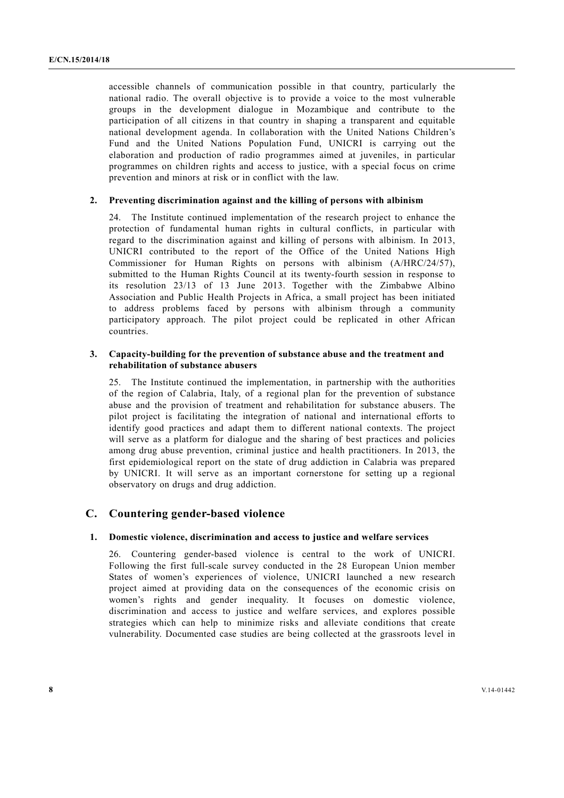accessible channels of communication possible in that country, particularly the national radio. The overall objective is to provide a voice to the most vulnerable groups in the development dialogue in Mozambique and contribute to the participation of all citizens in that country in shaping a transparent and equitable national development agenda. In collaboration with the United Nations Children's Fund and the United Nations Population Fund, UNICRI is carrying out the elaboration and production of radio programmes aimed at juveniles, in particular programmes on children rights and access to justice, with a special focus on crime prevention and minors at risk or in conflict with the law.

#### **2. Preventing discrimination against and the killing of persons with albinism**

24. The Institute continued implementation of the research project to enhance the protection of fundamental human rights in cultural conflicts, in particular with regard to the discrimination against and killing of persons with albinism. In 2013, UNICRI contributed to the report of the Office of the United Nations High Commissioner for Human Rights on persons with albinism (A/HRC/24/57), submitted to the Human Rights Council at its twenty-fourth session in response to its resolution 23/13 of 13 June 2013. Together with the Zimbabwe Albino Association and Public Health Projects in Africa, a small project has been initiated to address problems faced by persons with albinism through a community participatory approach. The pilot project could be replicated in other African countries.

#### **3. Capacity-building for the prevention of substance abuse and the treatment and rehabilitation of substance abusers**

25. The Institute continued the implementation, in partnership with the authorities of the region of Calabria, Italy, of a regional plan for the prevention of substance abuse and the provision of treatment and rehabilitation for substance abusers. The pilot project is facilitating the integration of national and international efforts to identify good practices and adapt them to different national contexts. The project will serve as a platform for dialogue and the sharing of best practices and policies among drug abuse prevention, criminal justice and health practitioners. In 2013, the first epidemiological report on the state of drug addiction in Calabria was prepared by UNICRI. It will serve as an important cornerstone for setting up a regional observatory on drugs and drug addiction.

## **C. Countering gender-based violence**

#### **1. Domestic violence, discrimination and access to justice and welfare services**

26. Countering gender-based violence is central to the work of UNICRI. Following the first full-scale survey conducted in the 28 European Union member States of women's experiences of violence, UNICRI launched a new research project aimed at providing data on the consequences of the economic crisis on women's rights and gender inequality. It focuses on domestic violence, discrimination and access to justice and welfare services, and explores possible strategies which can help to minimize risks and alleviate conditions that create vulnerability. Documented case studies are being collected at the grassroots level in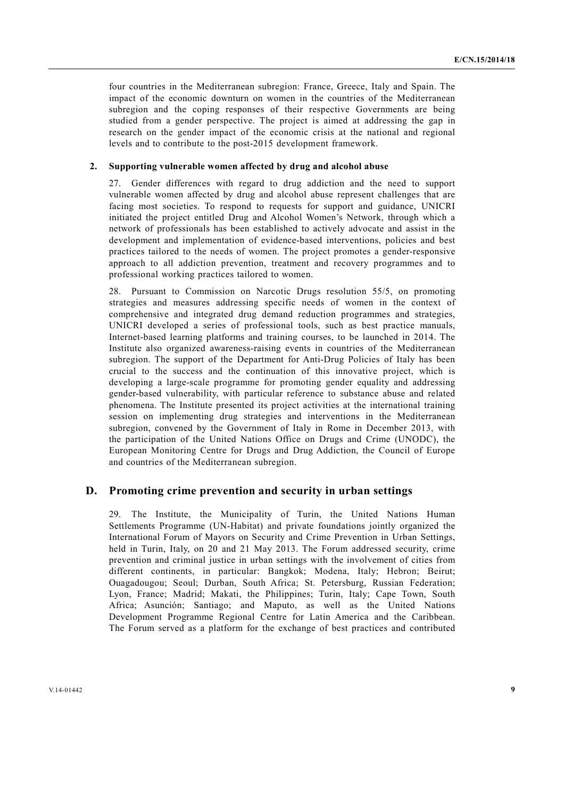four countries in the Mediterranean subregion: France, Greece, Italy and Spain. The impact of the economic downturn on women in the countries of the Mediterranean subregion and the coping responses of their respective Governments are being studied from a gender perspective. The project is aimed at addressing the gap in research on the gender impact of the economic crisis at the national and regional levels and to contribute to the post-2015 development framework.

#### **2. Supporting vulnerable women affected by drug and alcohol abuse**

27. Gender differences with regard to drug addiction and the need to support vulnerable women affected by drug and alcohol abuse represent challenges that are facing most societies. To respond to requests for support and guidance, UNICRI initiated the project entitled Drug and Alcohol Women's Network, through which a network of professionals has been established to actively advocate and assist in the development and implementation of evidence-based interventions, policies and best practices tailored to the needs of women. The project promotes a gender-responsive approach to all addiction prevention, treatment and recovery programmes and to professional working practices tailored to women.

28. Pursuant to Commission on Narcotic Drugs resolution 55/5, on promoting strategies and measures addressing specific needs of women in the context of comprehensive and integrated drug demand reduction programmes and strategies, UNICRI developed a series of professional tools, such as best practice manuals, Internet-based learning platforms and training courses, to be launched in 2014. The Institute also organized awareness-raising events in countries of the Mediterranean subregion. The support of the Department for Anti-Drug Policies of Italy has been crucial to the success and the continuation of this innovative project, which is developing a large-scale programme for promoting gender equality and addressing gender-based vulnerability, with particular reference to substance abuse and related phenomena. The Institute presented its project activities at the international training session on implementing drug strategies and interventions in the Mediterranean subregion, convened by the Government of Italy in Rome in December 2013, with the participation of the United Nations Office on Drugs and Crime (UNODC), the European Monitoring Centre for Drugs and Drug Addiction, the Council of Europe and countries of the Mediterranean subregion.

#### **D. Promoting crime prevention and security in urban settings**

29. The Institute, the Municipality of Turin, the United Nations Human Settlements Programme (UN-Habitat) and private foundations jointly organized the International Forum of Mayors on Security and Crime Prevention in Urban Settings, held in Turin, Italy, on 20 and 21 May 2013. The Forum addressed security, crime prevention and criminal justice in urban settings with the involvement of cities from different continents, in particular: Bangkok; Modena, Italy; Hebron; Beirut; Ouagadougou; Seoul; Durban, South Africa; St. Petersburg, Russian Federation; Lyon, France; Madrid; Makati, the Philippines; Turin, Italy; Cape Town, South Africa; Asunción; Santiago; and Maputo, as well as the United Nations Development Programme Regional Centre for Latin America and the Caribbean. The Forum served as a platform for the exchange of best practices and contributed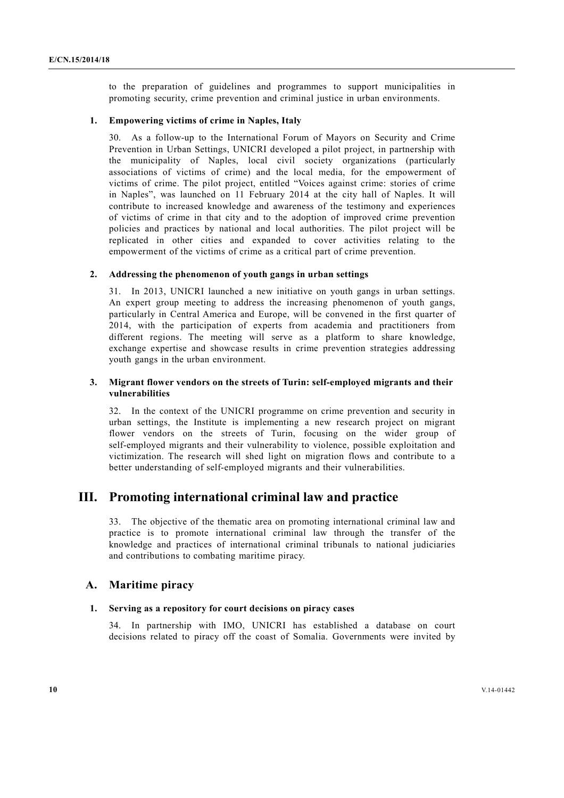to the preparation of guidelines and programmes to support municipalities in promoting security, crime prevention and criminal justice in urban environments.

#### **1. Empowering victims of crime in Naples, Italy**

30. As a follow-up to the International Forum of Mayors on Security and Crime Prevention in Urban Settings, UNICRI developed a pilot project, in partnership with the municipality of Naples, local civil society organizations (particularly associations of victims of crime) and the local media, for the empowerment of victims of crime. The pilot project, entitled "Voices against crime: stories of crime in Naples", was launched on 11 February 2014 at the city hall of Naples. It will contribute to increased knowledge and awareness of the testimony and experiences of victims of crime in that city and to the adoption of improved crime prevention policies and practices by national and local authorities. The pilot project will be replicated in other cities and expanded to cover activities relating to the empowerment of the victims of crime as a critical part of crime prevention.

#### **2. Addressing the phenomenon of youth gangs in urban settings**

31. In 2013, UNICRI launched a new initiative on youth gangs in urban settings. An expert group meeting to address the increasing phenomenon of youth gangs, particularly in Central America and Europe, will be convened in the first quarter of 2014, with the participation of experts from academia and practitioners from different regions. The meeting will serve as a platform to share knowledge, exchange expertise and showcase results in crime prevention strategies addressing youth gangs in the urban environment.

#### **3. Migrant flower vendors on the streets of Turin: self-employed migrants and their vulnerabilities**

32. In the context of the UNICRI programme on crime prevention and security in urban settings, the Institute is implementing a new research project on migrant flower vendors on the streets of Turin, focusing on the wider group of self-employed migrants and their vulnerability to violence, possible exploitation and victimization. The research will shed light on migration flows and contribute to a better understanding of self-employed migrants and their vulnerabilities.

# **III. Promoting international criminal law and practice**

33. The objective of the thematic area on promoting international criminal law and practice is to promote international criminal law through the transfer of the knowledge and practices of international criminal tribunals to national judiciaries and contributions to combating maritime piracy.

#### **A. Maritime piracy**

#### **1. Serving as a repository for court decisions on piracy cases**

34. In partnership with IMO, UNICRI has established a database on court decisions related to piracy off the coast of Somalia. Governments were invited by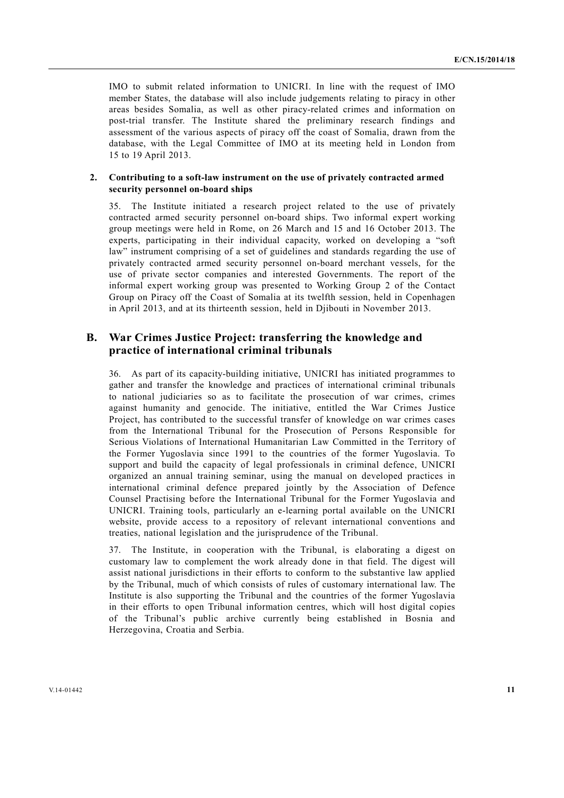IMO to submit related information to UNICRI. In line with the request of IMO member States, the database will also include judgements relating to piracy in other areas besides Somalia, as well as other piracy-related crimes and information on post-trial transfer. The Institute shared the preliminary research findings and assessment of the various aspects of piracy off the coast of Somalia, drawn from the database, with the Legal Committee of IMO at its meeting held in London from 15 to 19 April 2013.

#### **2. Contributing to a soft-law instrument on the use of privately contracted armed security personnel on-board ships**

35. The Institute initiated a research project related to the use of privately contracted armed security personnel on-board ships. Two informal expert working group meetings were held in Rome, on 26 March and 15 and 16 October 2013. The experts, participating in their individual capacity, worked on developing a "soft law" instrument comprising of a set of guidelines and standards regarding the use of privately contracted armed security personnel on-board merchant vessels, for the use of private sector companies and interested Governments. The report of the informal expert working group was presented to Working Group 2 of the Contact Group on Piracy off the Coast of Somalia at its twelfth session, held in Copenhagen in April 2013, and at its thirteenth session, held in Djibouti in November 2013.

# **B. War Crimes Justice Project: transferring the knowledge and practice of international criminal tribunals**

36. As part of its capacity-building initiative, UNICRI has initiated programmes to gather and transfer the knowledge and practices of international criminal tribunals to national judiciaries so as to facilitate the prosecution of war crimes, crimes against humanity and genocide. The initiative, entitled the War Crimes Justice Project, has contributed to the successful transfer of knowledge on war crimes cases from the International Tribunal for the Prosecution of Persons Responsible for Serious Violations of International Humanitarian Law Committed in the Territory of the Former Yugoslavia since 1991 to the countries of the former Yugoslavia. To support and build the capacity of legal professionals in criminal defence, UNICRI organized an annual training seminar, using the manual on developed practices in international criminal defence prepared jointly by the Association of Defence Counsel Practising before the International Tribunal for the Former Yugoslavia and UNICRI. Training tools, particularly an e-learning portal available on the UNICRI website, provide access to a repository of relevant international conventions and treaties, national legislation and the jurisprudence of the Tribunal.

37. The Institute, in cooperation with the Tribunal, is elaborating a digest on customary law to complement the work already done in that field. The digest will assist national jurisdictions in their efforts to conform to the substantive law applied by the Tribunal, much of which consists of rules of customary international law. The Institute is also supporting the Tribunal and the countries of the former Yugoslavia in their efforts to open Tribunal information centres, which will host digital copies of the Tribunal's public archive currently being established in Bosnia and Herzegovina, Croatia and Serbia.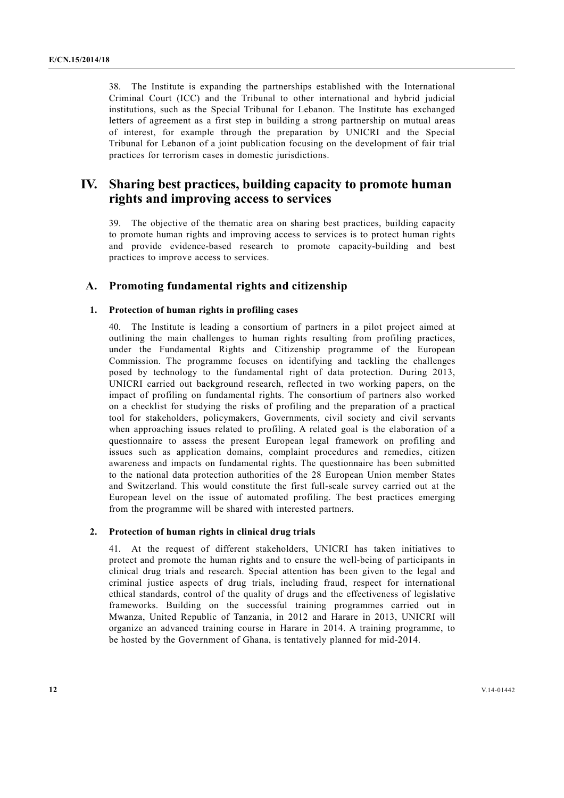38. The Institute is expanding the partnerships established with the International Criminal Court (ICC) and the Tribunal to other international and hybrid judicial institutions, such as the Special Tribunal for Lebanon. The Institute has exchanged letters of agreement as a first step in building a strong partnership on mutual areas of interest, for example through the preparation by UNICRI and the Special Tribunal for Lebanon of a joint publication focusing on the development of fair trial practices for terrorism cases in domestic jurisdictions.

# **IV. Sharing best practices, building capacity to promote human rights and improving access to services**

39. The objective of the thematic area on sharing best practices, building capacity to promote human rights and improving access to services is to protect human rights and provide evidence-based research to promote capacity-building and best practices to improve access to services.

## **A. Promoting fundamental rights and citizenship**

## **1. Protection of human rights in profiling cases**

40. The Institute is leading a consortium of partners in a pilot project aimed at outlining the main challenges to human rights resulting from profiling practices, under the Fundamental Rights and Citizenship programme of the European Commission. The programme focuses on identifying and tackling the challenges posed by technology to the fundamental right of data protection. During 2013, UNICRI carried out background research, reflected in two working papers, on the impact of profiling on fundamental rights. The consortium of partners also worked on a checklist for studying the risks of profiling and the preparation of a practical tool for stakeholders, policymakers, Governments, civil society and civil servants when approaching issues related to profiling. A related goal is the elaboration of a questionnaire to assess the present European legal framework on profiling and issues such as application domains, complaint procedures and remedies, citizen awareness and impacts on fundamental rights. The questionnaire has been submitted to the national data protection authorities of the 28 European Union member States and Switzerland. This would constitute the first full-scale survey carried out at the European level on the issue of automated profiling. The best practices emerging from the programme will be shared with interested partners.

#### **2. Protection of human rights in clinical drug trials**

41. At the request of different stakeholders, UNICRI has taken initiatives to protect and promote the human rights and to ensure the well-being of participants in clinical drug trials and research. Special attention has been given to the legal and criminal justice aspects of drug trials, including fraud, respect for international ethical standards, control of the quality of drugs and the effectiveness of legislative frameworks. Building on the successful training programmes carried out in Mwanza, United Republic of Tanzania, in 2012 and Harare in 2013, UNICRI will organize an advanced training course in Harare in 2014. A training programme, to be hosted by the Government of Ghana, is tentatively planned for mid-2014.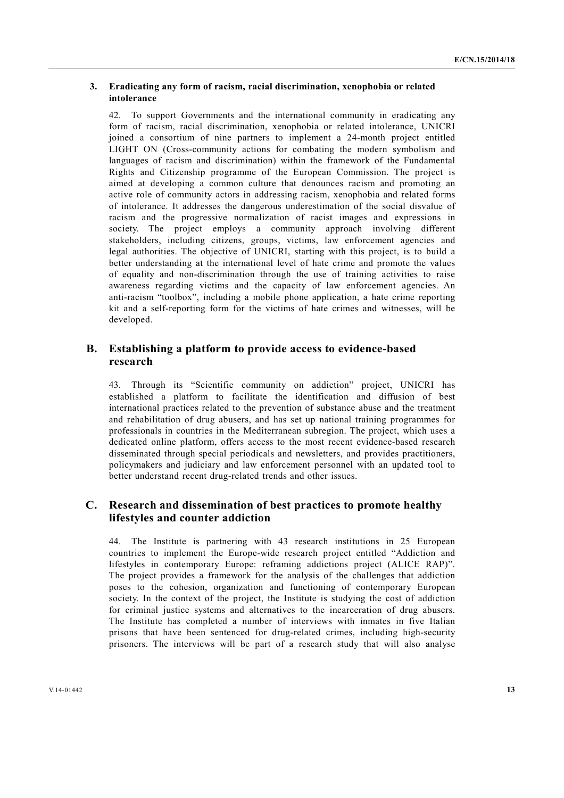#### **3. Eradicating any form of racism, racial discrimination, xenophobia or related intolerance**

42. To support Governments and the international community in eradicating any form of racism, racial discrimination, xenophobia or related intolerance, UNICRI joined a consortium of nine partners to implement a 24-month project entitled LIGHT ON (Cross-community actions for combating the modern symbolism and languages of racism and discrimination) within the framework of the Fundamental Rights and Citizenship programme of the European Commission. The project is aimed at developing a common culture that denounces racism and promoting an active role of community actors in addressing racism, xenophobia and related forms of intolerance. It addresses the dangerous underestimation of the social disvalue of racism and the progressive normalization of racist images and expressions in society. The project employs a community approach involving different stakeholders, including citizens, groups, victims, law enforcement agencies and legal authorities. The objective of UNICRI, starting with this project, is to build a better understanding at the international level of hate crime and promote the values of equality and non-discrimination through the use of training activities to raise awareness regarding victims and the capacity of law enforcement agencies. An anti-racism "toolbox", including a mobile phone application, a hate crime reporting kit and a self-reporting form for the victims of hate crimes and witnesses, will be developed.

## **B. Establishing a platform to provide access to evidence-based research**

43. Through its "Scientific community on addiction" project, UNICRI has established a platform to facilitate the identification and diffusion of best international practices related to the prevention of substance abuse and the treatment and rehabilitation of drug abusers, and has set up national training programmes for professionals in countries in the Mediterranean subregion. The project, which uses a dedicated online platform, offers access to the most recent evidence-based research disseminated through special periodicals and newsletters, and provides practitioners, policymakers and judiciary and law enforcement personnel with an updated tool to better understand recent drug-related trends and other issues.

# **C. Research and dissemination of best practices to promote healthy lifestyles and counter addiction**

44. The Institute is partnering with 43 research institutions in 25 European countries to implement the Europe-wide research project entitled "Addiction and lifestyles in contemporary Europe: reframing addictions project (ALICE RAP)". The project provides a framework for the analysis of the challenges that addiction poses to the cohesion, organization and functioning of contemporary European society. In the context of the project, the Institute is studying the cost of addiction for criminal justice systems and alternatives to the incarceration of drug abusers. The Institute has completed a number of interviews with inmates in five Italian prisons that have been sentenced for drug-related crimes, including high-security prisoners. The interviews will be part of a research study that will also analyse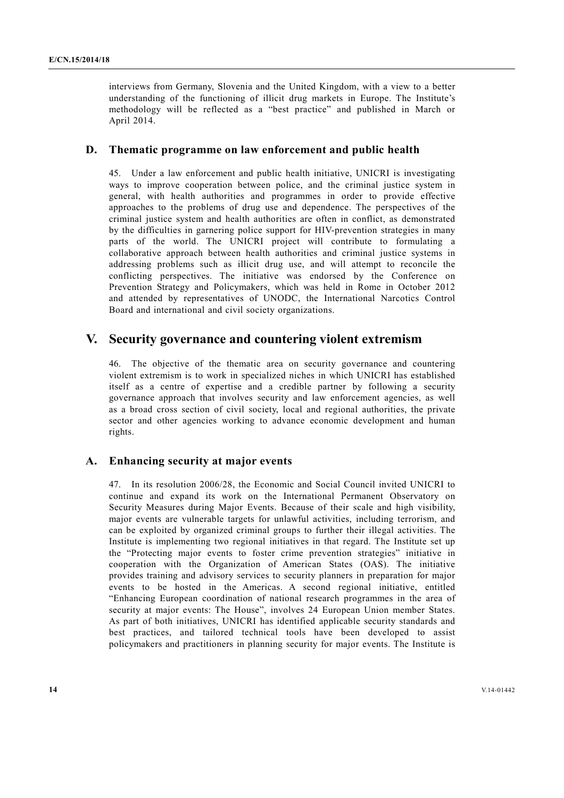interviews from Germany, Slovenia and the United Kingdom, with a view to a better understanding of the functioning of illicit drug markets in Europe. The Institute's methodology will be reflected as a "best practice" and published in March or April 2014.

## **D. Thematic programme on law enforcement and public health**

45. Under a law enforcement and public health initiative, UNICRI is investigating ways to improve cooperation between police, and the criminal justice system in general, with health authorities and programmes in order to provide effective approaches to the problems of drug use and dependence. The perspectives of the criminal justice system and health authorities are often in conflict, as demonstrated by the difficulties in garnering police support for HIV-prevention strategies in many parts of the world. The UNICRI project will contribute to formulating a collaborative approach between health authorities and criminal justice systems in addressing problems such as illicit drug use, and will attempt to reconcile the conflicting perspectives. The initiative was endorsed by the Conference on Prevention Strategy and Policymakers, which was held in Rome in October 2012 and attended by representatives of UNODC, the International Narcotics Control Board and international and civil society organizations.

# **V. Security governance and countering violent extremism**

46. The objective of the thematic area on security governance and countering violent extremism is to work in specialized niches in which UNICRI has established itself as a centre of expertise and a credible partner by following a security governance approach that involves security and law enforcement agencies, as well as a broad cross section of civil society, local and regional authorities, the private sector and other agencies working to advance economic development and human rights.

## **A. Enhancing security at major events**

47. In its resolution 2006/28, the Economic and Social Council invited UNICRI to continue and expand its work on the International Permanent Observatory on Security Measures during Major Events. Because of their scale and high visibility, major events are vulnerable targets for unlawful activities, including terrorism, and can be exploited by organized criminal groups to further their illegal activities. The Institute is implementing two regional initiatives in that regard. The Institute set up the "Protecting major events to foster crime prevention strategies" initiative in cooperation with the Organization of American States (OAS). The initiative provides training and advisory services to security planners in preparation for major events to be hosted in the Americas. A second regional initiative, entitled "Enhancing European coordination of national research programmes in the area of security at major events: The House", involves 24 European Union member States. As part of both initiatives, UNICRI has identified applicable security standards and best practices, and tailored technical tools have been developed to assist policymakers and practitioners in planning security for major events. The Institute is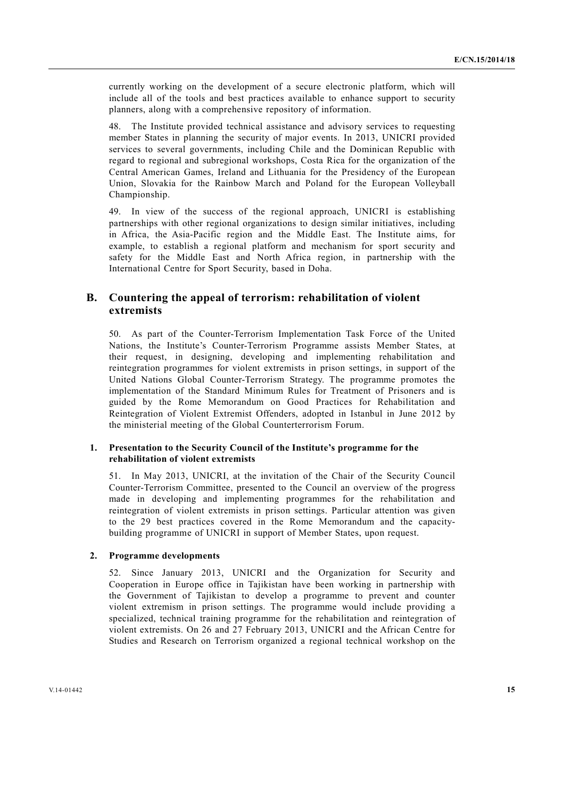currently working on the development of a secure electronic platform, which will include all of the tools and best practices available to enhance support to security planners, along with a comprehensive repository of information.

48. The Institute provided technical assistance and advisory services to requesting member States in planning the security of major events. In 2013, UNICRI provided services to several governments, including Chile and the Dominican Republic with regard to regional and subregional workshops, Costa Rica for the organization of the Central American Games, Ireland and Lithuania for the Presidency of the European Union, Slovakia for the Rainbow March and Poland for the European Volleyball Championship.

49. In view of the success of the regional approach, UNICRI is establishing partnerships with other regional organizations to design similar initiatives, including in Africa, the Asia-Pacific region and the Middle East. The Institute aims, for example, to establish a regional platform and mechanism for sport security and safety for the Middle East and North Africa region, in partnership with the International Centre for Sport Security, based in Doha.

## **B. Countering the appeal of terrorism: rehabilitation of violent extremists**

50. As part of the Counter-Terrorism Implementation Task Force of the United Nations, the Institute's Counter-Terrorism Programme assists Member States, at their request, in designing, developing and implementing rehabilitation and reintegration programmes for violent extremists in prison settings, in support of the United Nations Global Counter-Terrorism Strategy. The programme promotes the implementation of the Standard Minimum Rules for Treatment of Prisoners and is guided by the Rome Memorandum on Good Practices for Rehabilitation and Reintegration of Violent Extremist Offenders, adopted in Istanbul in June 2012 by the ministerial meeting of the Global Counterterrorism Forum.

#### **1. Presentation to the Security Council of the Institute's programme for the rehabilitation of violent extremists**

51. In May 2013, UNICRI, at the invitation of the Chair of the Security Council Counter-Terrorism Committee, presented to the Council an overview of the progress made in developing and implementing programmes for the rehabilitation and reintegration of violent extremists in prison settings. Particular attention was given to the 29 best practices covered in the Rome Memorandum and the capacitybuilding programme of UNICRI in support of Member States, upon request.

## **2. Programme developments**

52. Since January 2013, UNICRI and the Organization for Security and Cooperation in Europe office in Tajikistan have been working in partnership with the Government of Tajikistan to develop a programme to prevent and counter violent extremism in prison settings. The programme would include providing a specialized, technical training programme for the rehabilitation and reintegration of violent extremists. On 26 and 27 February 2013, UNICRI and the African Centre for Studies and Research on Terrorism organized a regional technical workshop on the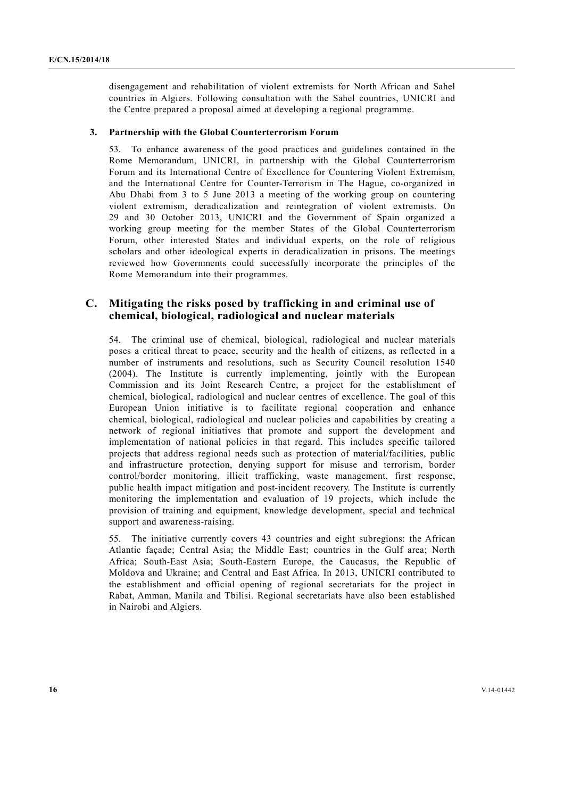disengagement and rehabilitation of violent extremists for North African and Sahel countries in Algiers. Following consultation with the Sahel countries, UNICRI and the Centre prepared a proposal aimed at developing a regional programme.

## **3. Partnership with the Global Counterterrorism Forum**

53. To enhance awareness of the good practices and guidelines contained in the Rome Memorandum, UNICRI, in partnership with the Global Counterterrorism Forum and its International Centre of Excellence for Countering Violent Extremism, and the International Centre for Counter-Terrorism in The Hague, co-organized in Abu Dhabi from 3 to 5 June 2013 a meeting of the working group on countering violent extremism, deradicalization and reintegration of violent extremists. On 29 and 30 October 2013, UNICRI and the Government of Spain organized a working group meeting for the member States of the Global Counterterrorism Forum, other interested States and individual experts, on the role of religious scholars and other ideological experts in deradicalization in prisons. The meetings reviewed how Governments could successfully incorporate the principles of the Rome Memorandum into their programmes.

## **C. Mitigating the risks posed by trafficking in and criminal use of chemical, biological, radiological and nuclear materials**

54. The criminal use of chemical, biological, radiological and nuclear materials poses a critical threat to peace, security and the health of citizens, as reflected in a number of instruments and resolutions, such as Security Council resolution 1540 (2004). The Institute is currently implementing, jointly with the European Commission and its Joint Research Centre, a project for the establishment of chemical, biological, radiological and nuclear centres of excellence. The goal of this European Union initiative is to facilitate regional cooperation and enhance chemical, biological, radiological and nuclear policies and capabilities by creating a network of regional initiatives that promote and support the development and implementation of national policies in that regard. This includes specific tailored projects that address regional needs such as protection of material/facilities, public and infrastructure protection, denying support for misuse and terrorism, border control/border monitoring, illicit trafficking, waste management, first response, public health impact mitigation and post-incident recovery. The Institute is currently monitoring the implementation and evaluation of 19 projects, which include the provision of training and equipment, knowledge development, special and technical support and awareness-raising.

55. The initiative currently covers 43 countries and eight subregions: the African Atlantic façade; Central Asia; the Middle East; countries in the Gulf area; North Africa; South-East Asia; South-Eastern Europe, the Caucasus, the Republic of Moldova and Ukraine; and Central and East Africa. In 2013, UNICRI contributed to the establishment and official opening of regional secretariats for the project in Rabat, Amman, Manila and Tbilisi. Regional secretariats have also been established in Nairobi and Algiers.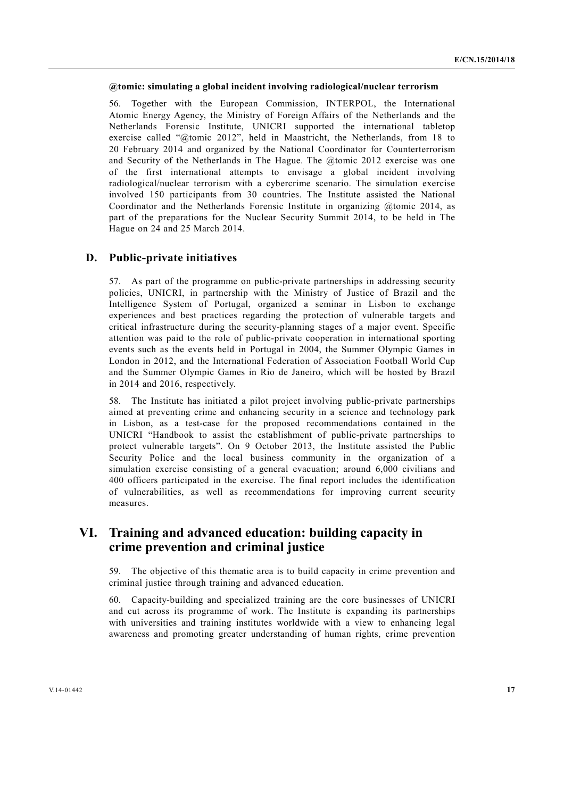#### **@tomic: simulating a global incident involving radiological/nuclear terrorism**

56. Together with the European Commission, INTERPOL, the International Atomic Energy Agency, the Ministry of Foreign Affairs of the Netherlands and the Netherlands Forensic Institute, UNICRI supported the international tabletop exercise called "@tomic 2012", held in Maastricht, the Netherlands, from 18 to 20 February 2014 and organized by the National Coordinator for Counterterrorism and Security of the Netherlands in The Hague. The @tomic 2012 exercise was one of the first international attempts to envisage a global incident involving radiological/nuclear terrorism with a cybercrime scenario. The simulation exercise involved 150 participants from 30 countries. The Institute assisted the National Coordinator and the Netherlands Forensic Institute in organizing @tomic 2014, as part of the preparations for the Nuclear Security Summit 2014, to be held in The Hague on 24 and 25 March 2014.

## **D. Public-private initiatives**

57. As part of the programme on public-private partnerships in addressing security policies, UNICRI, in partnership with the Ministry of Justice of Brazil and the Intelligence System of Portugal, organized a seminar in Lisbon to exchange experiences and best practices regarding the protection of vulnerable targets and critical infrastructure during the security-planning stages of a major event. Specific attention was paid to the role of public-private cooperation in international sporting events such as the events held in Portugal in 2004, the Summer Olympic Games in London in 2012, and the International Federation of Association Football World Cup and the Summer Olympic Games in Rio de Janeiro, which will be hosted by Brazil in 2014 and 2016, respectively.

58. The Institute has initiated a pilot project involving public-private partnerships aimed at preventing crime and enhancing security in a science and technology park in Lisbon, as a test-case for the proposed recommendations contained in the UNICRI "Handbook to assist the establishment of public-private partnerships to protect vulnerable targets". On 9 October 2013, the Institute assisted the Public Security Police and the local business community in the organization of a simulation exercise consisting of a general evacuation; around 6,000 civilians and 400 officers participated in the exercise. The final report includes the identification of vulnerabilities, as well as recommendations for improving current security measures.

# **VI. Training and advanced education: building capacity in crime prevention and criminal justice**

59. The objective of this thematic area is to build capacity in crime prevention and criminal justice through training and advanced education.

60. Capacity-building and specialized training are the core businesses of UNICRI and cut across its programme of work. The Institute is expanding its partnerships with universities and training institutes worldwide with a view to enhancing legal awareness and promoting greater understanding of human rights, crime prevention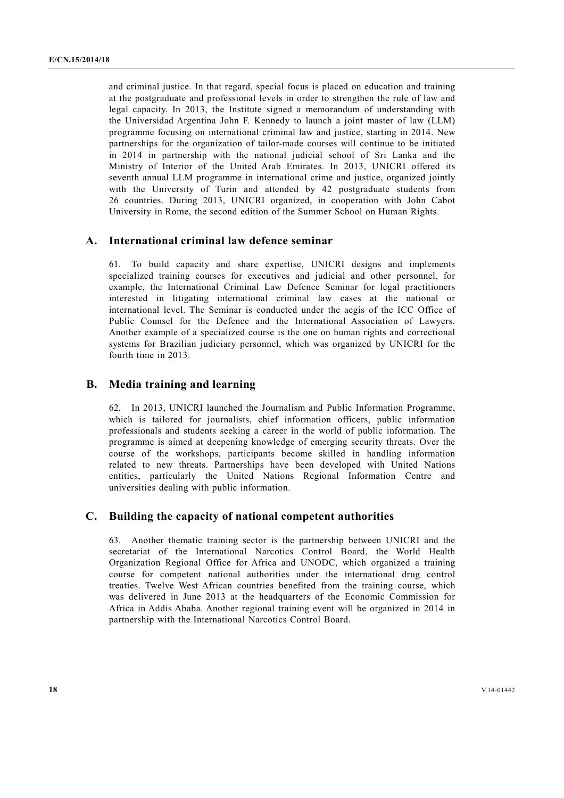and criminal justice. In that regard, special focus is placed on education and training at the postgraduate and professional levels in order to strengthen the rule of law and legal capacity. In 2013, the Institute signed a memorandum of understanding with the Universidad Argentina John F. Kennedy to launch a joint master of law (LLM) programme focusing on international criminal law and justice, starting in 2014. New partnerships for the organization of tailor-made courses will continue to be initiated in 2014 in partnership with the national judicial school of Sri Lanka and the Ministry of Interior of the United Arab Emirates. In 2013, UNICRI offered its seventh annual LLM programme in international crime and justice, organized jointly with the University of Turin and attended by 42 postgraduate students from 26 countries. During 2013, UNICRI organized, in cooperation with John Cabot University in Rome, the second edition of the Summer School on Human Rights.

## **A. International criminal law defence seminar**

61. To build capacity and share expertise, UNICRI designs and implements specialized training courses for executives and judicial and other personnel, for example, the International Criminal Law Defence Seminar for legal practitioners interested in litigating international criminal law cases at the national or international level. The Seminar is conducted under the aegis of the ICC Office of Public Counsel for the Defence and the International Association of Lawyers. Another example of a specialized course is the one on human rights and correctional systems for Brazilian judiciary personnel, which was organized by UNICRI for the fourth time in 2013.

#### **B. Media training and learning**

62. In 2013, UNICRI launched the Journalism and Public Information Programme, which is tailored for journalists, chief information officers, public information professionals and students seeking a career in the world of public information. The programme is aimed at deepening knowledge of emerging security threats. Over the course of the workshops, participants become skilled in handling information related to new threats. Partnerships have been developed with United Nations entities, particularly the United Nations Regional Information Centre and universities dealing with public information.

## **C. Building the capacity of national competent authorities**

63. Another thematic training sector is the partnership between UNICRI and the secretariat of the International Narcotics Control Board, the World Health Organization Regional Office for Africa and UNODC, which organized a training course for competent national authorities under the international drug control treaties. Twelve West African countries benefited from the training course, which was delivered in June 2013 at the headquarters of the Economic Commission for Africa in Addis Ababa. Another regional training event will be organized in 2014 in partnership with the International Narcotics Control Board.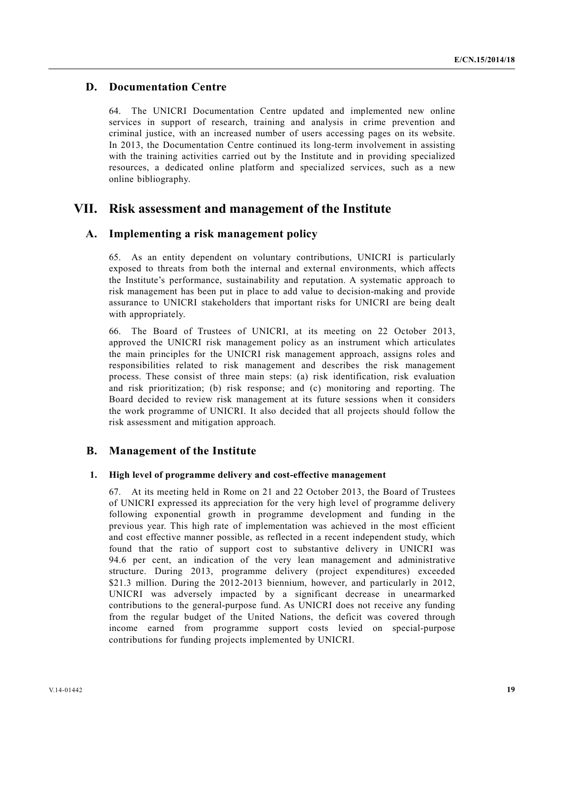## **D. Documentation Centre**

64. The UNICRI Documentation Centre updated and implemented new online services in support of research, training and analysis in crime prevention and criminal justice, with an increased number of users accessing pages on its website. In 2013, the Documentation Centre continued its long-term involvement in assisting with the training activities carried out by the Institute and in providing specialized resources, a dedicated online platform and specialized services, such as a new online bibliography.

## **VII. Risk assessment and management of the Institute**

## **A. Implementing a risk management policy**

65. As an entity dependent on voluntary contributions, UNICRI is particularly exposed to threats from both the internal and external environments, which affects the Institute's performance, sustainability and reputation. A systematic approach to risk management has been put in place to add value to decision-making and provide assurance to UNICRI stakeholders that important risks for UNICRI are being dealt with appropriately.

66. The Board of Trustees of UNICRI, at its meeting on 22 October 2013, approved the UNICRI risk management policy as an instrument which articulates the main principles for the UNICRI risk management approach, assigns roles and responsibilities related to risk management and describes the risk management process. These consist of three main steps: (a) risk identification, risk evaluation and risk prioritization; (b) risk response; and (c) monitoring and reporting. The Board decided to review risk management at its future sessions when it considers the work programme of UNICRI. It also decided that all projects should follow the risk assessment and mitigation approach.

## **B. Management of the Institute**

#### **1. High level of programme delivery and cost-effective management**

67. At its meeting held in Rome on 21 and 22 October 2013, the Board of Trustees of UNICRI expressed its appreciation for the very high level of programme delivery following exponential growth in programme development and funding in the previous year. This high rate of implementation was achieved in the most efficient and cost effective manner possible, as reflected in a recent independent study, which found that the ratio of support cost to substantive delivery in UNICRI was 94.6 per cent, an indication of the very lean management and administrative structure. During 2013, programme delivery (project expenditures) exceeded \$21.3 million. During the 2012-2013 biennium, however, and particularly in 2012. UNICRI was adversely impacted by a significant decrease in unearmarked contributions to the general-purpose fund. As UNICRI does not receive any funding from the regular budget of the United Nations, the deficit was covered through income earned from programme support costs levied on special-purpose contributions for funding projects implemented by UNICRI.